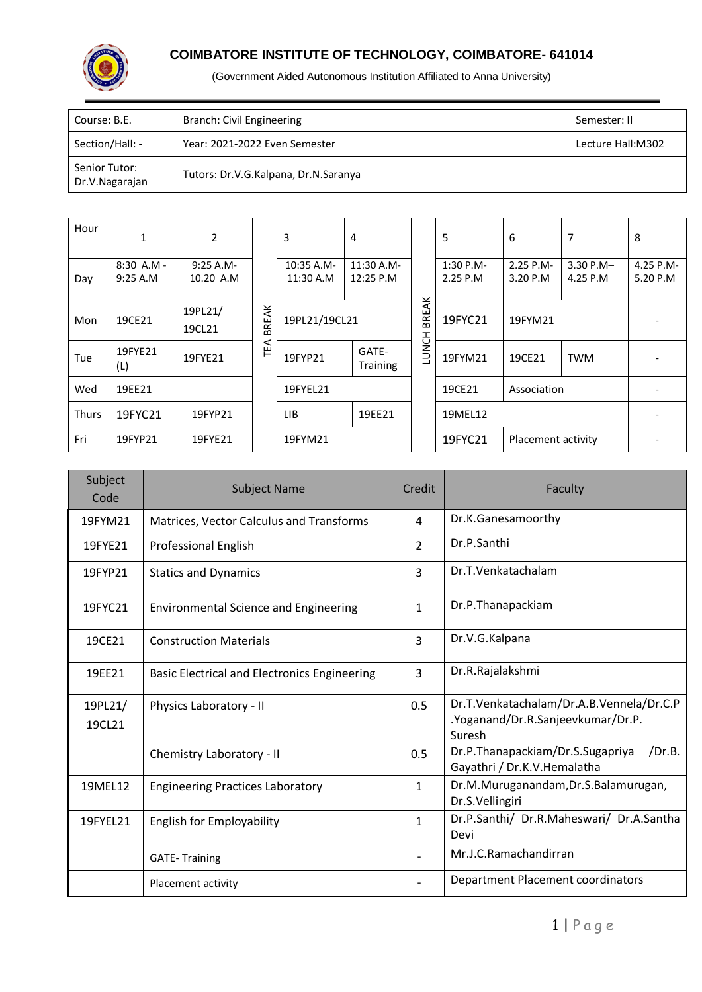

| Course: B.E.                    | Branch: Civil Engineering            | Semester: II       |
|---------------------------------|--------------------------------------|--------------------|
| Section/Hall: -                 | Year: 2021-2022 Even Semester        | Lecture Hall: M302 |
| Senior Tutor:<br>Dr.V.Nagarajan | Tutors: Dr.V.G.Kalpana, Dr.N.Saranya |                    |

| Hour         | 1                        | $\overline{2}$            |              | 3                       | 4                        |                             | 5                             | 6                     | 7                     | 8                     |
|--------------|--------------------------|---------------------------|--------------|-------------------------|--------------------------|-----------------------------|-------------------------------|-----------------------|-----------------------|-----------------------|
| Day          | $8:30$ A.M -<br>9:25 A.M | $9:25 A.M -$<br>10.20 A.M |              | 10:35 A.M-<br>11:30 A.M | 11:30 A.M-<br>12:25 P.M  |                             | 1:30 P.M-<br>2.25 P.M         | 2.25 P.M-<br>3.20 P.M | 3.30 P.M-<br>4.25 P.M | 4.25 P.M-<br>5.20 P.M |
| Mon          | 19CE21                   | 19PL21/<br>19CL21         | <b>BREAK</b> | 19PL21/19CL21           |                          | BREAK<br>19FYC21<br>19FYM21 |                               |                       |                       |                       |
| Tue          | 19FYE21<br>(L)           | 19FYE21                   | TEA          | 19FYP21                 | GATE-<br><b>Training</b> | <b>LUNCH</b>                | 19FYM21                       | 19CE21                | <b>TWM</b>            |                       |
| Wed          | 19EE21                   |                           |              | 19FYEL21                |                          |                             | 19CE21                        | Association           |                       |                       |
| <b>Thurs</b> | 19FYC21                  | 19FYP21                   |              | 19EE21<br><b>LIB</b>    |                          |                             | 19MEL12                       |                       |                       |                       |
| Fri          | 19FYP21                  | 19FYE21                   |              | 19FYM21                 |                          |                             | 19FYC21<br>Placement activity |                       |                       |                       |

| Subject<br>Code               | <b>Subject Name</b>                                 | Credit        | Faculty                                                                                 |  |  |
|-------------------------------|-----------------------------------------------------|---------------|-----------------------------------------------------------------------------------------|--|--|
| 19FYM21                       | Matrices, Vector Calculus and Transforms            | 4             | Dr.K.Ganesamoorthy                                                                      |  |  |
| 19FYE21                       | <b>Professional English</b>                         | $\mathcal{P}$ | Dr.P.Santhi                                                                             |  |  |
| 19FYP21                       | <b>Statics and Dynamics</b>                         | 3             | Dr.T.Venkatachalam                                                                      |  |  |
| 19FYC21                       | <b>Environmental Science and Engineering</b>        | 1             | Dr.P.Thanapackiam                                                                       |  |  |
| 19CF21                        | <b>Construction Materials</b>                       | 3             | Dr.V.G.Kalpana                                                                          |  |  |
| 19EE21                        | <b>Basic Electrical and Electronics Engineering</b> | 3             | Dr.R.Rajalakshmi                                                                        |  |  |
| 19PL21/<br>19CL <sub>21</sub> | Physics Laboratory - II                             | 0.5           | Dr.T.Venkatachalam/Dr.A.B.Vennela/Dr.C.P<br>.Yoganand/Dr.R.Sanjeevkumar/Dr.P.<br>Suresh |  |  |
|                               | Chemistry Laboratory - II                           | 0.5           | Dr.P.Thanapackiam/Dr.S.Sugapriya<br>/Dr.B.<br>Gayathri / Dr.K.V.Hemalatha               |  |  |
| 19MEL12                       | <b>Engineering Practices Laboratory</b>             | 1             | Dr.M.Muruganandam, Dr.S.Balamurugan,<br>Dr.S.Vellingiri                                 |  |  |
| 19FYEL21                      | English for Employability                           | $\mathbf{1}$  | Dr.P.Santhi/ Dr.R.Maheswari/ Dr.A.Santha<br>Devi                                        |  |  |
|                               | <b>GATE-Training</b>                                |               | Mr.J.C.Ramachandirran                                                                   |  |  |
|                               | Placement activity                                  |               | Department Placement coordinators                                                       |  |  |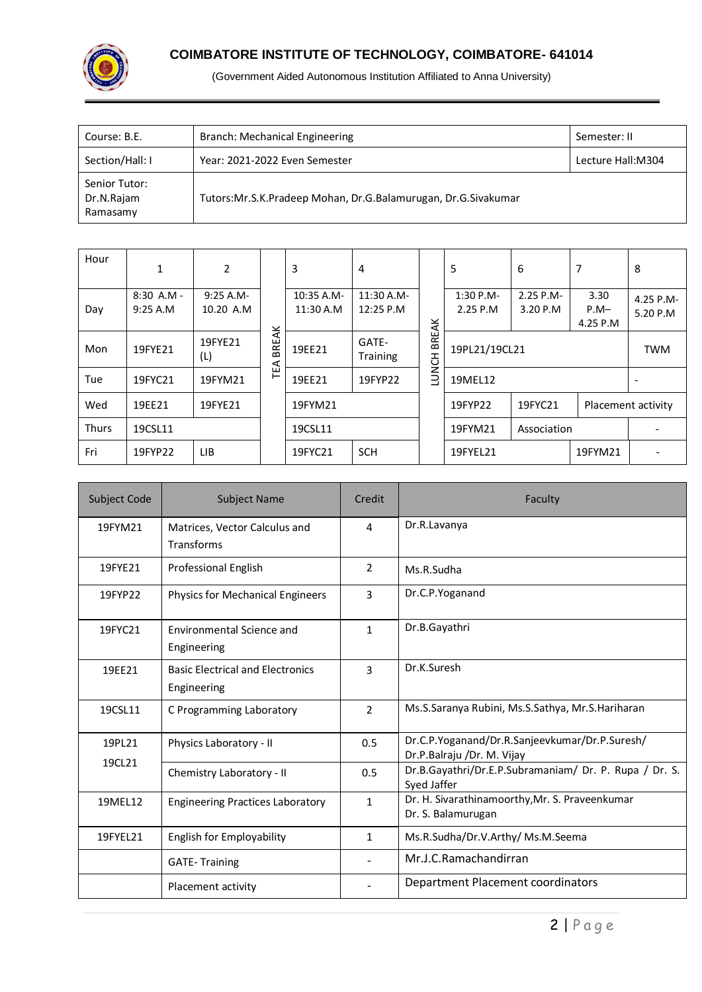

| Course: B.E.                            | Branch: Mechanical Engineering                                        | Semester: II       |
|-----------------------------------------|-----------------------------------------------------------------------|--------------------|
| Section/Hall: I                         | Year: 2021-2022 Even Semester                                         | Lecture Hall: M304 |
| Senior Tutor:<br>Dr.N.Rajam<br>Ramasamy | Tutors: Mr. S. K. Pradeep Mohan, Dr. G. Balamurugan, Dr. G. Sivakumar |                    |

| Fri          | 19FYP22                | <b>LIB</b>                |       | 19FYC21                 | <b>SCH</b>              |              | 19FYEL21              |                       | 19FYM21                    |                       |
|--------------|------------------------|---------------------------|-------|-------------------------|-------------------------|--------------|-----------------------|-----------------------|----------------------------|-----------------------|
| <b>Thurs</b> | 19CSL11                |                           |       | 19CSL11                 |                         |              | 19FYM21               | Association           |                            |                       |
| Wed          | 19EE21                 | 19FYE21                   |       | 19FYM21                 |                         |              | 19FYP22               | 19FYC21               |                            | Placement activity    |
| Tue          | 19FYC21                | 19FYM21                   | TEA   | 19EE21                  | 19FYP22                 | <b>LUNCH</b> | 19MEL12               |                       |                            |                       |
| Mon          | 19FYE21                | 19FYE21<br>(L)            | BREAK | 19EE21                  | GATE-<br>Training       | <b>BREAK</b> | 19PL21/19CL21         |                       |                            | <b>TWM</b>            |
| Day          | 8:30 A.M -<br>9:25 A.M | $9:25 A.M -$<br>10.20 A.M |       | 10:35 A.M-<br>11:30 A.M | 11:30 A.M-<br>12:25 P.M |              | 1:30 P.M-<br>2.25 P.M | 2.25 P.M-<br>3.20 P.M | 3.30<br>$P.M-$<br>4.25 P.M | 4.25 P.M-<br>5.20 P.M |
| Hour         | 1                      | 2                         |       | 3                       | 4                       |              | 5                     | 6                     | 7                          | 8                     |

| Subject Code | <b>Subject Name</b>                                    | Credit         | Faculty                                                                      |
|--------------|--------------------------------------------------------|----------------|------------------------------------------------------------------------------|
| 19FYM21      | Matrices, Vector Calculus and<br>Transforms            | 4              | Dr.R.Lavanya                                                                 |
| 19FYE21      | Professional English                                   | $\overline{2}$ | Ms.R.Sudha                                                                   |
| 19FYP22      | <b>Physics for Mechanical Engineers</b>                | 3              | Dr.C.P.Yoganand                                                              |
| 19FYC21      | Environmental Science and<br>Engineering               | $\mathbf{1}$   | Dr.B.Gayathri                                                                |
| 19EE21       | <b>Basic Electrical and Electronics</b><br>Engineering | 3              | Dr.K.Suresh                                                                  |
| 19CSL11      | C Programming Laboratory                               | $\mathcal{P}$  | Ms.S.Saranya Rubini, Ms.S.Sathya, Mr.S.Hariharan                             |
| 19PL21       | Physics Laboratory - II                                | 0.5            | Dr.C.P.Yoganand/Dr.R.Sanjeevkumar/Dr.P.Suresh/<br>Dr.P.Balraju /Dr. M. Vijay |
| 19CL21       | Chemistry Laboratory - II                              | 0.5            | Dr.B.Gayathri/Dr.E.P.Subramaniam/ Dr. P. Rupa / Dr. S.<br>Syed Jaffer        |
| 19MEL12      | <b>Engineering Practices Laboratory</b>                | $\mathbf{1}$   | Dr. H. Sivarathinamoorthy, Mr. S. Praveenkumar<br>Dr. S. Balamurugan         |
| 19FYEL21     | English for Employability                              | 1              | Ms.R.Sudha/Dr.V.Arthy/ Ms.M.Seema                                            |
|              | <b>GATE-Training</b>                                   |                | Mr.J.C.Ramachandirran                                                        |
|              | Placement activity                                     |                | Department Placement coordinators                                            |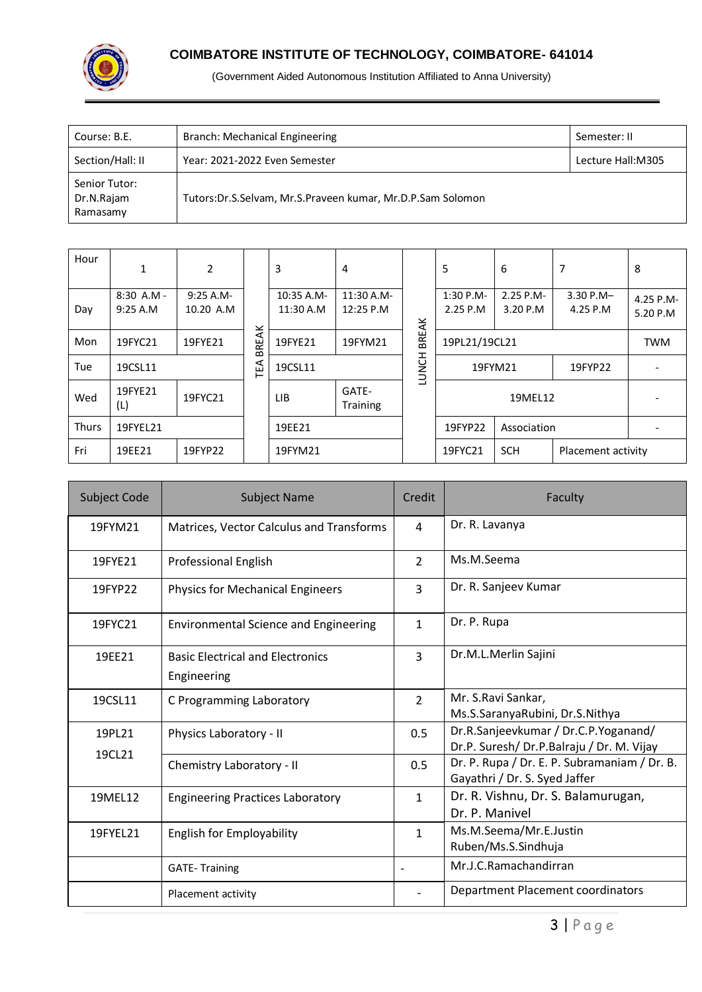

| Course: B.E.                            | Branch: Mechanical Engineering                             | Semester: II      |
|-----------------------------------------|------------------------------------------------------------|-------------------|
| Section/Hall: II                        | Year: 2021-2022 Even Semester                              | Lecture Hall:M305 |
| Senior Tutor:<br>Dr.N.Rajam<br>Ramasamy | Tutors:Dr.S.Selvam, Mr.S.Praveen kumar, Mr.D.P.Sam Solomon |                   |

| Hour         | 1                       | $\overline{2}$            |              | 3                       | 4                        |              | 5                     | 6                     | 7                        | 8                     |
|--------------|-------------------------|---------------------------|--------------|-------------------------|--------------------------|--------------|-----------------------|-----------------------|--------------------------|-----------------------|
| Day          | $8:30$ A.M -<br>9:25A.M | $9:25 A.M -$<br>10.20 A.M |              | 10:35 A.M-<br>11:30 A.M | 11:30 A.M-<br>12:25 P.M  |              | 1:30 P.M-<br>2.25 P.M | 2.25 P.M-<br>3.20 P.M | $3.30 P.M -$<br>4.25 P.M | 4.25 P.M-<br>5.20 P.M |
| Mon          | 19FYC21                 | 19FYE21                   | <b>BREAK</b> | 19FYE21                 | 19FYM21                  | <b>BREAK</b> | 19PL21/19CL21         |                       |                          | <b>TWM</b>            |
| Tue          | 19CSL11                 |                           | ΤEΑ          | 19CSL11                 |                          | <b>LUNCH</b> | 19FYM21               |                       | 19FYP22                  |                       |
| Wed          | 19FYE21<br>(L)          | 19FYC21                   |              | LIB                     | GATE-<br><b>Training</b> |              |                       | 19MEL12               |                          |                       |
| <b>Thurs</b> | 19FYEL21                |                           |              | 19EE21                  |                          |              | 19FYP22               | Association           |                          |                       |
| Fri          | 19EE21                  | 19FYP22                   |              | 19FYM21                 |                          |              | 19FYC21               | <b>SCH</b>            | Placement activity       |                       |

| Subject Code | <b>Subject Name</b>                                    | Credit         | Faculty                                                                          |
|--------------|--------------------------------------------------------|----------------|----------------------------------------------------------------------------------|
| 19FYM21      | Matrices, Vector Calculus and Transforms               | 4              | Dr. R. Lavanya                                                                   |
| 19FYF21      | <b>Professional English</b>                            | $\overline{2}$ | Ms.M.Seema                                                                       |
| 19FYP22      | <b>Physics for Mechanical Engineers</b>                | 3              | Dr. R. Sanjeev Kumar                                                             |
| 19FYC21      | <b>Environmental Science and Engineering</b>           | $\mathbf{1}$   | Dr. P. Rupa                                                                      |
| 19FF21       | <b>Basic Electrical and Electronics</b><br>Engineering | 3              | Dr.M.L.Merlin Sajini                                                             |
| 19CSL11      | C Programming Laboratory                               | $\overline{2}$ | Mr. S.Ravi Sankar,<br>Ms.S.SaranyaRubini, Dr.S.Nithya                            |
| 19PL21       | Physics Laboratory - II                                | 0.5            | Dr.R.Sanjeevkumar / Dr.C.P.Yoganand/<br>Dr.P. Suresh/Dr.P.Balraju / Dr. M. Vijay |
| 19CL21       | Chemistry Laboratory - II                              | 0.5            | Dr. P. Rupa / Dr. E. P. Subramaniam / Dr. B.<br>Gayathri / Dr. S. Syed Jaffer    |
| 19MEL12      | <b>Engineering Practices Laboratory</b>                | 1              | Dr. R. Vishnu, Dr. S. Balamurugan,<br>Dr. P. Manivel                             |
| 19FYFL21     | <b>English for Employability</b>                       | 1              | Ms.M.Seema/Mr.E.Justin<br>Ruben/Ms.S.Sindhuja                                    |
|              | <b>GATE-Training</b>                                   |                | Mr.J.C.Ramachandirran                                                            |
|              | Placement activity                                     |                | <b>Department Placement coordinators</b>                                         |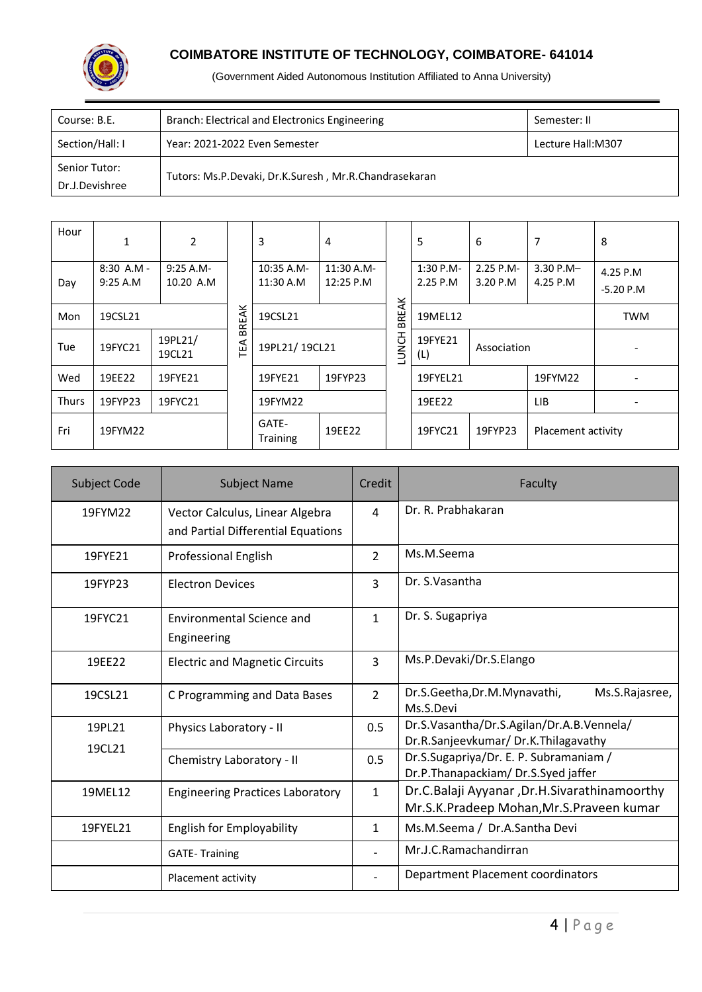

| Course: B.E.                    | Branch: Electrical and Electronics Engineering        | Semester: II      |
|---------------------------------|-------------------------------------------------------|-------------------|
| Section/Hall: I                 | Year: 2021-2022 Even Semester                         | Lecture Hall:M307 |
| Senior Tutor:<br>Dr.J.Devishree | Tutors: Ms.P.Devaki, Dr.K.Suresh, Mr.R.Chandrasekaran |                   |

| Hour         | 1                       | $\overline{2}$            |             | 3                           | 4                       |              | 5                                             | 6                     | 7                       | 8                       |
|--------------|-------------------------|---------------------------|-------------|-----------------------------|-------------------------|--------------|-----------------------------------------------|-----------------------|-------------------------|-------------------------|
| Day          | $8:30$ A.M -<br>9:25A.M | $9:25 A.M -$<br>10.20 A.M |             | 10:35 A.M-<br>11:30 A.M     | 11:30 A.M-<br>12:25 P.M |              | 1:30 P.M-<br>2.25 P.M                         | 2.25 P.M-<br>3.20 P.M | $3.30$ P.M-<br>4.25 P.M | 4.25 P.M<br>$-5.20$ P.M |
| Mon          | 19CSL21                 |                           | <b>REAK</b> | 19CSL21                     |                         | <b>BREAK</b> | 19MEL12                                       |                       |                         | <b>TWM</b>              |
| Tue          | 19FYC21                 | 19PL21/<br>19CL21         | ☎<br>ΤÉΑ    |                             | 19PL21/19CL21           |              | <b>LUNCH</b><br>19FYE21<br>Association<br>(L) |                       |                         |                         |
| Wed          | 19EE22                  | 19FYE21                   |             | 19FYE21                     | 19FYP23                 |              | 19FYEL21                                      |                       | 19FYM22                 |                         |
| <b>Thurs</b> | 19FYP23                 | 19FYC21                   |             | 19FYM22                     |                         |              | 19EE22                                        |                       | <b>LIB</b>              |                         |
| Fri          | 19FYM22                 |                           |             | GATE-<br>19EE22<br>Training |                         |              | 19FYC21                                       | 19FYP23               | Placement activity      |                         |

| <b>Subject Code</b> | <b>Subject Name</b>                                                   | Credit                   | Faculty                                                                                  |
|---------------------|-----------------------------------------------------------------------|--------------------------|------------------------------------------------------------------------------------------|
| 19FYM22             | Vector Calculus, Linear Algebra<br>and Partial Differential Equations | 4                        | Dr. R. Prabhakaran                                                                       |
| 19FYF21             | <b>Professional English</b>                                           | $\overline{2}$           | Ms.M.Seema                                                                               |
| 19FYP23             | <b>Electron Devices</b>                                               | $\overline{3}$           | Dr. S. Vasantha                                                                          |
| 19FYC21             | <b>Environmental Science and</b><br>Engineering                       | 1                        | Dr. S. Sugapriya                                                                         |
| 19EE22              | <b>Electric and Magnetic Circuits</b>                                 | 3                        | Ms.P.Devaki/Dr.S.Elango                                                                  |
| 19CSL21             | C Programming and Data Bases                                          | $\overline{\phantom{a}}$ | Dr.S.Geetha, Dr.M. Mynavathi,<br>Ms.S.Rajasree,<br>Ms.S.Devi                             |
| 19PL21<br>19CL21    | Physics Laboratory - II                                               | 0.5                      | Dr.S.Vasantha/Dr.S.Agilan/Dr.A.B.Vennela/<br>Dr.R.Sanjeevkumar/Dr.K.Thilagavathy         |
|                     | Chemistry Laboratory - II                                             | 0.5                      | Dr.S.Sugapriya/Dr. E. P. Subramaniam /<br>Dr.P.Thanapackiam/Dr.S.Syed jaffer             |
| 19MEL12             | <b>Engineering Practices Laboratory</b>                               | $\mathbf{1}$             | Dr.C.Balaji Ayyanar ,Dr.H.Sivarathinamoorthy<br>Mr.S.K.Pradeep Mohan, Mr.S.Praveen kumar |
| 19FYEL21            | <b>English for Employability</b>                                      | 1                        | Ms.M.Seema / Dr.A.Santha Devi                                                            |
|                     | <b>GATE-Training</b>                                                  |                          | Mr.J.C.Ramachandirran                                                                    |
|                     | Placement activity                                                    |                          | <b>Department Placement coordinators</b>                                                 |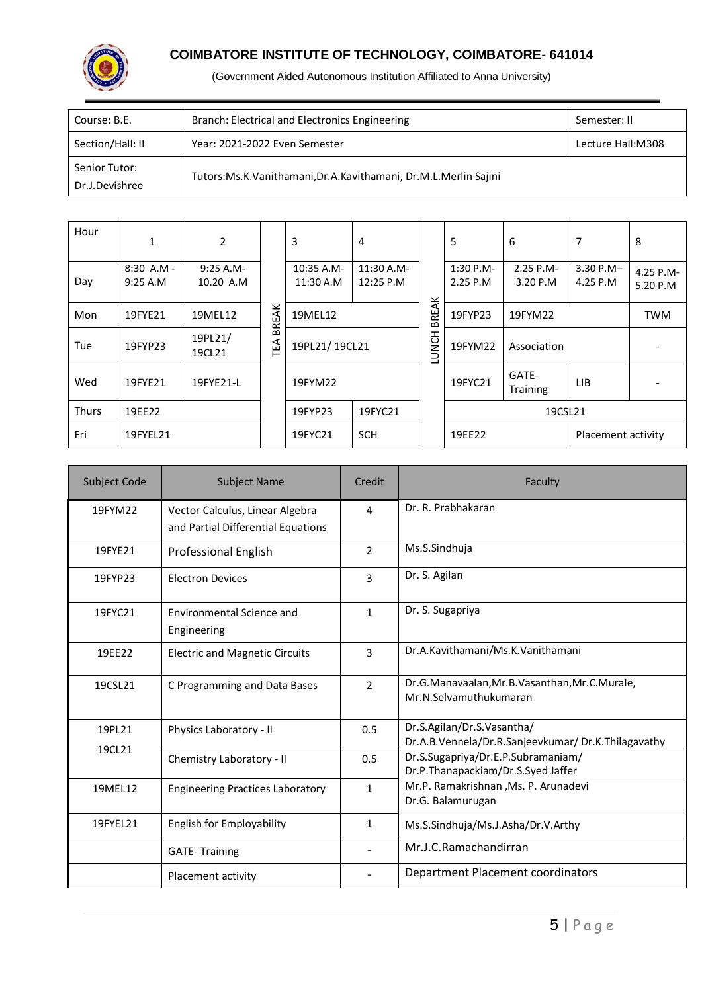

| Course: B.E.                    | Branch: Electrical and Electronics Engineering                 | Semester: II       |
|---------------------------------|----------------------------------------------------------------|--------------------|
| Section/Hall: II                | Year: 2021-2022 Even Semester                                  | Lecture Hall: M308 |
| Senior Tutor:<br>Dr.J.Devishree | Tutors:Ms.K.Vanithamani,Dr.A.Kavithamani, Dr.M.L.Merlin Sajini |                    |

| Hour         | 1                       | $\overline{2}$            |       | 3                       | 4                       |              | 5                            | 6                     | 7                        | 8                     |  |  |
|--------------|-------------------------|---------------------------|-------|-------------------------|-------------------------|--------------|------------------------------|-----------------------|--------------------------|-----------------------|--|--|
| Day          | $8:30$ A.M -<br>9:25A.M | $9:25 A.M -$<br>10.20 A.M |       | 10:35 A.M-<br>11:30 A.M | 11:30 A.M-<br>12:25 P.M | <b>BREAK</b> | 1:30 P.M-<br>2.25 P.M        | 2.25 P.M-<br>3.20 P.M | $3.30 P.M -$<br>4.25 P.M | 4.25 P.M-<br>5.20 P.M |  |  |
| Mon          | 19FYE21                 | 19MEL12                   | BREAK | 19MEL12                 |                         |              | 19FYP23                      | 19FYM22               |                          | <b>TWM</b>            |  |  |
| Tue          | 19FYP23                 | 19PL21/<br>19CL21         | ΓÉΑ   |                         | 19PL21/19CL21           |              | 19FYM22                      | Association           |                          |                       |  |  |
| Wed          | 19FYE21                 | 19FYE21-L                 |       | 19FYM22                 |                         |              | 19FYC21                      | GATE-<br>Training     | <b>LIB</b>               |                       |  |  |
| <b>Thurs</b> | 19EE22                  |                           |       | 19FYP23<br>19FYC21      |                         |              |                              |                       |                          | 19CSL21               |  |  |
| Fri          | 19FYEL21                |                           |       | 19FYC21                 | <b>SCH</b>              |              | 19EE22<br>Placement activity |                       |                          |                       |  |  |

| Subject Code       | <b>Subject Name</b>                                                   | Credit         | Faculty                                                                          |
|--------------------|-----------------------------------------------------------------------|----------------|----------------------------------------------------------------------------------|
| 19FYM22            | Vector Calculus, Linear Algebra<br>and Partial Differential Equations | 4              | Dr. R. Prabhakaran                                                               |
| 19FYE21            | <b>Professional English</b>                                           | $\overline{2}$ | Ms.S.Sindhuja                                                                    |
| 19FYP23            | <b>Electron Devices</b>                                               | $\overline{3}$ | Dr. S. Agilan                                                                    |
| 19FYC21            | Environmental Science and<br>Engineering                              | $\mathbf{1}$   | Dr. S. Sugapriya                                                                 |
| 19FF <sub>22</sub> | <b>Electric and Magnetic Circuits</b>                                 | 3              | Dr.A.Kavithamani/Ms.K.Vanithamani                                                |
| 19CSL21            | C Programming and Data Bases                                          | $\mathcal{P}$  | Dr.G.Manavaalan, Mr.B.Vasanthan, Mr.C.Murale,<br>Mr.N.Selvamuthukumaran          |
| 19PL21             | Physics Laboratory - II                                               | 0.5            | Dr.S.Agilan/Dr.S.Vasantha/<br>Dr.A.B.Vennela/Dr.R.Sanjeevkumar/Dr.K.Thilagavathy |
| 19CL21             | Chemistry Laboratory - II                                             | 0.5            | Dr.S.Sugapriya/Dr.E.P.Subramaniam/<br>Dr.P.Thanapackiam/Dr.S.Syed Jaffer         |
| 19MEL12            | <b>Engineering Practices Laboratory</b>                               | $\mathbf{1}$   | Mr.P. Ramakrishnan , Ms. P. Arunadevi<br>Dr.G. Balamurugan                       |
| 19FYEL21           | <b>English for Employability</b>                                      | 1              | Ms.S.Sindhuja/Ms.J.Asha/Dr.V.Arthy                                               |
|                    | <b>GATE-Training</b>                                                  |                | Mr. J.C. Ramachandirran                                                          |
|                    | Placement activity                                                    |                | Department Placement coordinators                                                |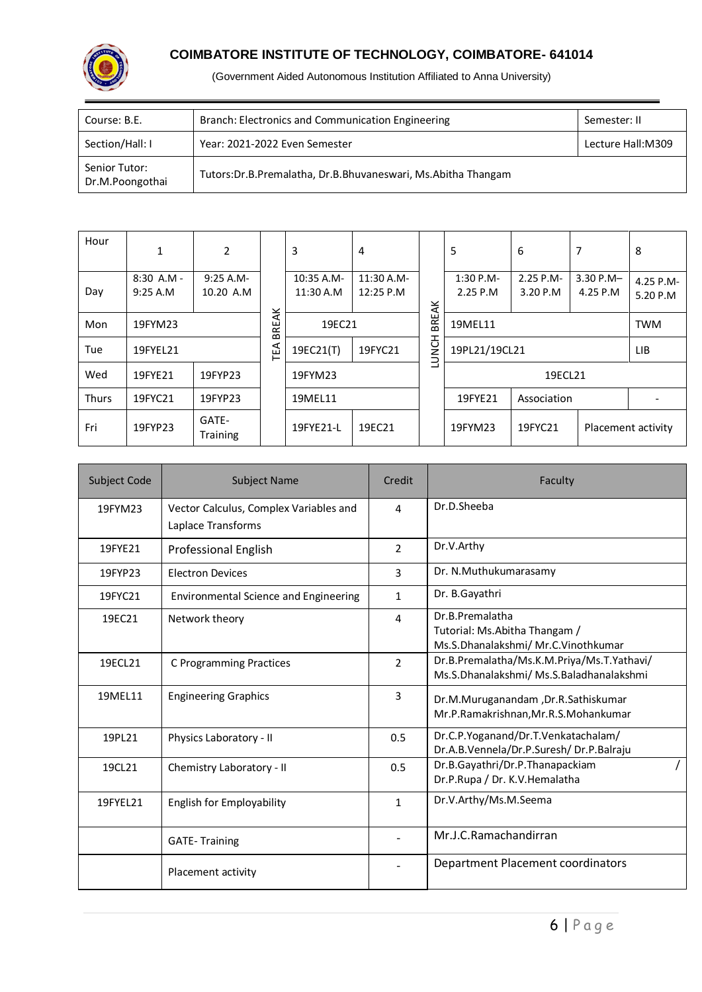

| Course: B.E.                     | Branch: Electronics and Communication Engineering                  | Semester: II      |
|----------------------------------|--------------------------------------------------------------------|-------------------|
| Section/Hall: I                  | Year: 2021-2022 Even Semester                                      | Lecture Hall:M309 |
| Senior Tutor:<br>Dr.M.Poongothai | Tutors: Dr. B. Premalatha, Dr. B. Bhuvaneswari, Ms. Abitha Thangam |                   |

| Hour         | 1                       | 2                         |       | 3                       | 4                       |              | 5                     | 6                     | 7                        | 8                     |
|--------------|-------------------------|---------------------------|-------|-------------------------|-------------------------|--------------|-----------------------|-----------------------|--------------------------|-----------------------|
| Day          | $8:30$ A.M -<br>9:25A.M | $9:25 A.M -$<br>10.20 A.M |       | 10:35 A.M-<br>11:30 A.M | 11:30 A.M-<br>12:25 P.M |              | 1:30 P.M-<br>2.25 P.M | 2.25 P.M-<br>3.20 P.M | $3.30 P.M -$<br>4.25 P.M | 4.25 P.M-<br>5.20 P.M |
| Mon          | 19FYM23                 |                           | BREAK | 19EC21                  |                         | <b>BREAK</b> | 19MEL11               |                       |                          | <b>TWM</b>            |
| Tue          | 19FYEL21                |                           | TEA   | 19EC21(T)<br>19FYC21    |                         | <b>LUNCH</b> | 19PL21/19CL21         |                       |                          | LIB.                  |
| Wed          | 19FYE21                 | 19FYP23                   |       | 19FYM23                 |                         |              |                       | 19ECL21               |                          |                       |
| <b>Thurs</b> | 19FYC21                 | 19FYP23                   |       | 19MEL11                 |                         |              | 19FYE21               | Association           |                          |                       |
| Fri          | 19FYP23                 | GATE-<br>Training         |       | 19FYE21-L               | 19EC21                  |              | 19FYM23               | 19FYC21               |                          | Placement activity    |

| Subject Code | <b>Subject Name</b>                                          | Credit         | Faculty                                                                                 |
|--------------|--------------------------------------------------------------|----------------|-----------------------------------------------------------------------------------------|
| 19FYM23      | Vector Calculus, Complex Variables and<br>Laplace Transforms | 4              | Dr.D.Sheeba                                                                             |
| 19FYE21      | <b>Professional English</b>                                  | $\overline{2}$ | Dr.V.Arthy                                                                              |
| 19FYP23      | <b>Electron Devices</b>                                      | 3              | Dr. N.Muthukumarasamy                                                                   |
| 19FYC21      | <b>Environmental Science and Engineering</b>                 | 1              | Dr. B.Gayathri                                                                          |
| 19EC21       | Network theory                                               | 4              | Dr.B.Premalatha<br>Tutorial: Ms.Abitha Thangam /<br>Ms.S.Dhanalakshmi/ Mr.C.Vinothkumar |
| 19ECL21      | C Programming Practices                                      | $\overline{2}$ | Dr.B.Premalatha/Ms.K.M.Priya/Ms.T.Yathavi/<br>Ms.S.Dhanalakshmi/ Ms.S.Baladhanalakshmi  |
| 19MEL11      | <b>Engineering Graphics</b>                                  | 3              | Dr.M.Muruganandam ,Dr.R.Sathiskumar<br>Mr.P.Ramakrishnan, Mr.R.S.Mohankumar             |
| 19PL21       | Physics Laboratory - II                                      | 0.5            | Dr.C.P.Yoganand/Dr.T.Venkatachalam/<br>Dr.A.B.Vennela/Dr.P.Suresh/Dr.P.Balraju          |
| 19CL21       | Chemistry Laboratory - II                                    | 0.5            | Dr.B.Gayathri/Dr.P.Thanapackiam<br>Dr.P.Rupa / Dr. K.V.Hemalatha                        |
| 19FYEL21     | English for Employability                                    | $\mathbf{1}$   | Dr.V.Arthy/Ms.M.Seema                                                                   |
|              | <b>GATE-Training</b>                                         |                | Mr.J.C.Ramachandirran                                                                   |
|              | Placement activity                                           |                | Department Placement coordinators                                                       |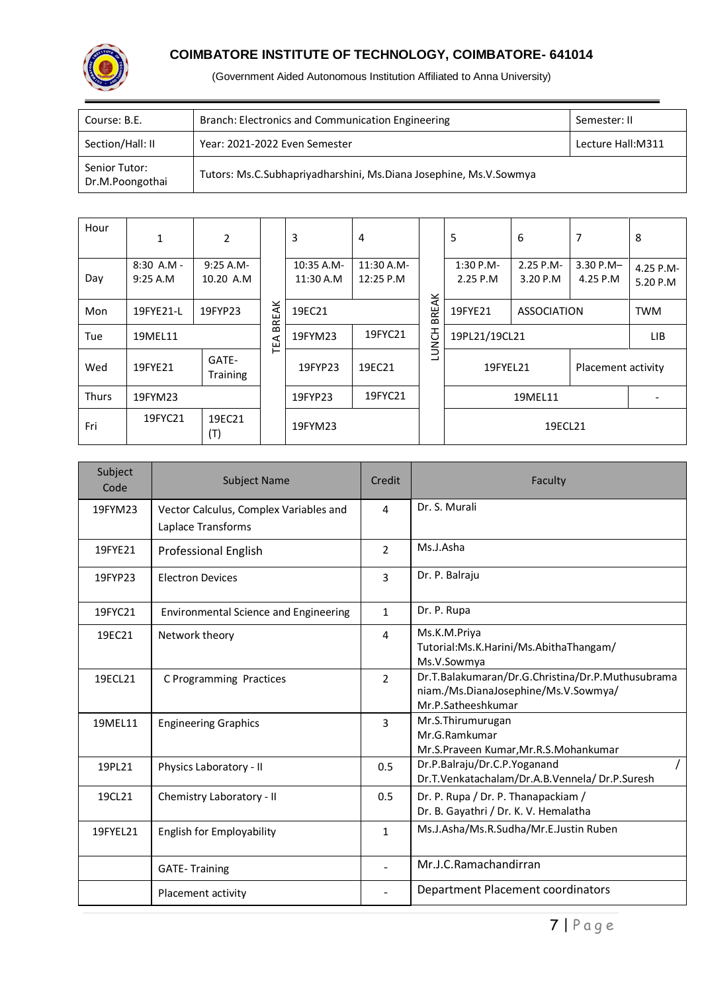

| Course: B.E.                     | Branch: Electronics and Communication Engineering                 | Semester: II      |
|----------------------------------|-------------------------------------------------------------------|-------------------|
| Section/Hall: II                 | Year: 2021-2022 Even Semester                                     | Lecture Hall:M311 |
| Senior Tutor:<br>Dr.M.Poongothai | Tutors: Ms.C.Subhapriyadharshini, Ms.Diana Josephine, Ms.V.Sowmya |                   |

| Hour         | 1                       | 2                         |              | 3                       | 4                       |              | 5                             | 6                              | 7                     | 8                     |
|--------------|-------------------------|---------------------------|--------------|-------------------------|-------------------------|--------------|-------------------------------|--------------------------------|-----------------------|-----------------------|
| Day          | $8:30$ A.M -<br>9:25A.M | $9:25 A.M -$<br>10.20 A.M |              | 10:35 A.M-<br>11:30 A.M | 11:30 A.M-<br>12:25 P.M | <b>BREAK</b> | 1:30 P.M-<br>2.25 P.M         | 2.25 P.M-<br>3.20 P.M          | 3.30 P.M-<br>4.25 P.M | 4.25 P.M-<br>5.20 P.M |
| Mon          | 19FYE21-L               | 19FYP23                   | <b>BREAK</b> | 19EC21                  |                         |              | 19FYE21<br><b>ASSOCIATION</b> |                                |                       | <b>TWM</b>            |
| Tue          | 19MEL11                 |                           | TEA          | 19FYM23                 | 19FYC21                 |              | <b>LUNCH</b><br>19PL21/19CL21 |                                |                       | LIB.                  |
| Wed          | 19FYE21                 | GATE-<br>Training         |              | 19FYP23                 | 19EC21                  |              |                               | 19FYEL21<br>Placement activity |                       |                       |
| <b>Thurs</b> | 19FYM23                 |                           |              | 19FYC21<br>19FYP23      |                         |              |                               | 19MEL11                        |                       |                       |
| Fri          | 19FYC21                 | 19EC21<br>(T)             |              | 19FYM23                 |                         |              | 19ECL21                       |                                |                       |                       |

| Subject<br>Code | <b>Subject Name</b>                                          | Credit         | Faculty                                                                                                         |
|-----------------|--------------------------------------------------------------|----------------|-----------------------------------------------------------------------------------------------------------------|
| 19FYM23         | Vector Calculus, Complex Variables and<br>Laplace Transforms | 4              | Dr. S. Murali                                                                                                   |
| 19FYE21         | <b>Professional English</b>                                  | $\mathcal{P}$  | Ms.J.Asha                                                                                                       |
| 19FYP23         | <b>Electron Devices</b>                                      | 3              | Dr. P. Balraju                                                                                                  |
| 19FYC21         | <b>Environmental Science and Engineering</b>                 | $\mathbf{1}$   | Dr. P. Rupa                                                                                                     |
| 19EC21          | Network theory                                               | 4              | Ms.K.M.Priya<br>Tutorial:Ms.K.Harini/Ms.AbithaThangam/<br>Ms.V.Sowmya                                           |
| 19ECL21         | C Programming Practices                                      | $\overline{2}$ | Dr.T.Balakumaran/Dr.G.Christina/Dr.P.Muthusubrama<br>niam./Ms.DianaJosephine/Ms.V.Sowmya/<br>Mr.P.Satheeshkumar |
| 19MEL11         | <b>Engineering Graphics</b>                                  | $\overline{3}$ | Mr.S.Thirumurugan<br>Mr.G.Ramkumar<br>Mr.S.Praveen Kumar, Mr.R.S. Mohankumar                                    |
| 19PL21          | Physics Laboratory - II                                      | 0.5            | Dr.P.Balraju/Dr.C.P.Yoganand<br>Dr.T.Venkatachalam/Dr.A.B.Vennela/Dr.P.Suresh                                   |
| 19CL21          | Chemistry Laboratory - II                                    | 0.5            | Dr. P. Rupa / Dr. P. Thanapackiam /<br>Dr. B. Gayathri / Dr. K. V. Hemalatha                                    |
| 19FYEL21        | <b>English for Employability</b>                             | $\mathbf{1}$   | Ms.J.Asha/Ms.R.Sudha/Mr.E.Justin Ruben                                                                          |
|                 | <b>GATE-Training</b>                                         |                | Mr.J.C.Ramachandirran                                                                                           |
|                 | Placement activity                                           |                | <b>Department Placement coordinators</b>                                                                        |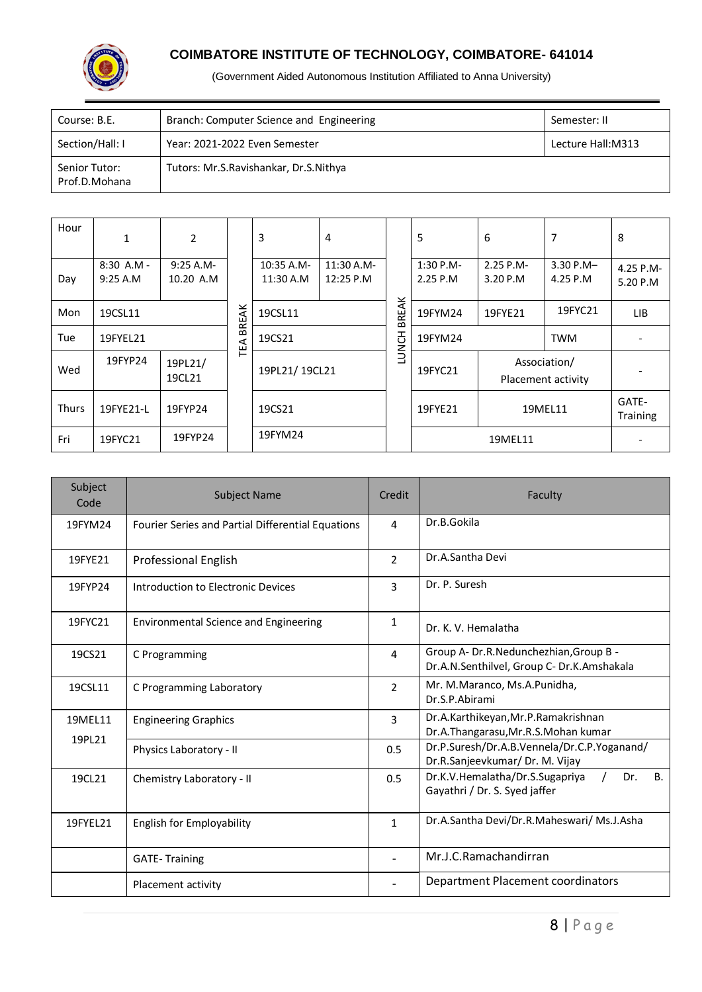

| Course: B.E.                   | Branch: Computer Science and Engineering | Semester: II       |
|--------------------------------|------------------------------------------|--------------------|
| Section/Hall: I                | Year: 2021-2022 Even Semester            | Lecture Hall: M313 |
| Senior Tutor:<br>Prof.D.Mohana | Tutors: Mr.S.Ravishankar, Dr.S.Nithya    |                    |

| Hour         | 1                        | $\overline{2}$         |         | 3                       | 4                       |              | 5                     | 6                     | 7                                  | 8                     |
|--------------|--------------------------|------------------------|---------|-------------------------|-------------------------|--------------|-----------------------|-----------------------|------------------------------------|-----------------------|
| Day          | $8:30$ A.M -<br>9:25 A.M | 9:25 A.M-<br>10.20 A.M |         | 10:35 A.M-<br>11:30 A.M | 11:30 A.M-<br>12:25 P.M |              | 1:30 P.M-<br>2.25 P.M | 2.25 P.M-<br>3.20 P.M | $3.30 P.M -$<br>4.25 P.M           | 4.25 P.M-<br>5.20 P.M |
| Mon          | <b>BREAK</b><br>19CSL11  |                        | 19CSL11 |                         | BREAK                   | 19FYM24      | 19FYE21               | 19FYC21               | <b>LIB</b>                         |                       |
| Tue          | 19FYEL21                 |                        | TEA     | 19CS21                  |                         | <b>LUNCH</b> | 19FYM24               | <b>TWM</b>            |                                    |                       |
| Wed          | 19FYP24                  | 19PL21/<br>19CL21      |         | 19PL21/19CL21           |                         |              | 19FYC21               |                       | Association/<br>Placement activity |                       |
| <b>Thurs</b> | 19FYE21-L                | 19FYP24                |         | 19CS21                  |                         |              | 19FYE21               | 19MEL11               |                                    | GATE-<br>Training     |
| Fri          | 19FYC21                  | 19FYP24                |         | 19FYM24                 |                         |              |                       | 19MEL11               |                                    |                       |

| Subject<br>Code | <b>Subject Name</b>                               | Credit                                                                              | Faculty                                                                              |  |  |  |  |
|-----------------|---------------------------------------------------|-------------------------------------------------------------------------------------|--------------------------------------------------------------------------------------|--|--|--|--|
| 19FYM24         | Fourier Series and Partial Differential Equations | 4                                                                                   | Dr.B.Gokila                                                                          |  |  |  |  |
| 19FYF21         | <b>Professional English</b>                       | $\mathfrak{p}$                                                                      | Dr.A.Santha Devi                                                                     |  |  |  |  |
| 19FYP24         | Introduction to Electronic Devices                | 3                                                                                   | Dr. P. Suresh                                                                        |  |  |  |  |
| 19FYC21         | <b>Environmental Science and Engineering</b>      | 1                                                                                   | Dr. K. V. Hemalatha                                                                  |  |  |  |  |
| 19CS21          | C Programming                                     | Group A-Dr.R.Nedunchezhian, Group B -<br>Dr.A.N.Senthilvel, Group C- Dr.K.Amshakala |                                                                                      |  |  |  |  |
| 19CSL11         | C Programming Laboratory                          | $\overline{2}$                                                                      | Mr. M.Maranco, Ms.A.Punidha,<br>Dr.S.P.Abirami                                       |  |  |  |  |
| 19MEL11         | <b>Engineering Graphics</b>                       | 3                                                                                   | Dr.A.Karthikeyan, Mr.P.Ramakrishnan<br>Dr.A.Thangarasu, Mr.R.S.Mohan kumar           |  |  |  |  |
| 19PL21          | Physics Laboratory - II                           | 0.5                                                                                 | Dr.P.Suresh/Dr.A.B.Vennela/Dr.C.P.Yoganand/<br>Dr.R.Sanjeevkumar/ Dr. M. Vijay       |  |  |  |  |
| 19CL21          | Chemistry Laboratory - II                         | 0.5                                                                                 | Dr.K.V.Hemalatha/Dr.S.Sugapriya<br>Dr.<br><b>B.</b><br>Gayathri / Dr. S. Syed jaffer |  |  |  |  |
| 19FYEL21        | <b>English for Employability</b>                  | $\mathbf{1}$                                                                        | Dr.A.Santha Devi/Dr.R.Maheswari/ Ms.J.Asha                                           |  |  |  |  |
|                 | <b>GATE-Training</b>                              |                                                                                     | Mr.J.C.Ramachandirran                                                                |  |  |  |  |
|                 | Placement activity                                |                                                                                     | Department Placement coordinators                                                    |  |  |  |  |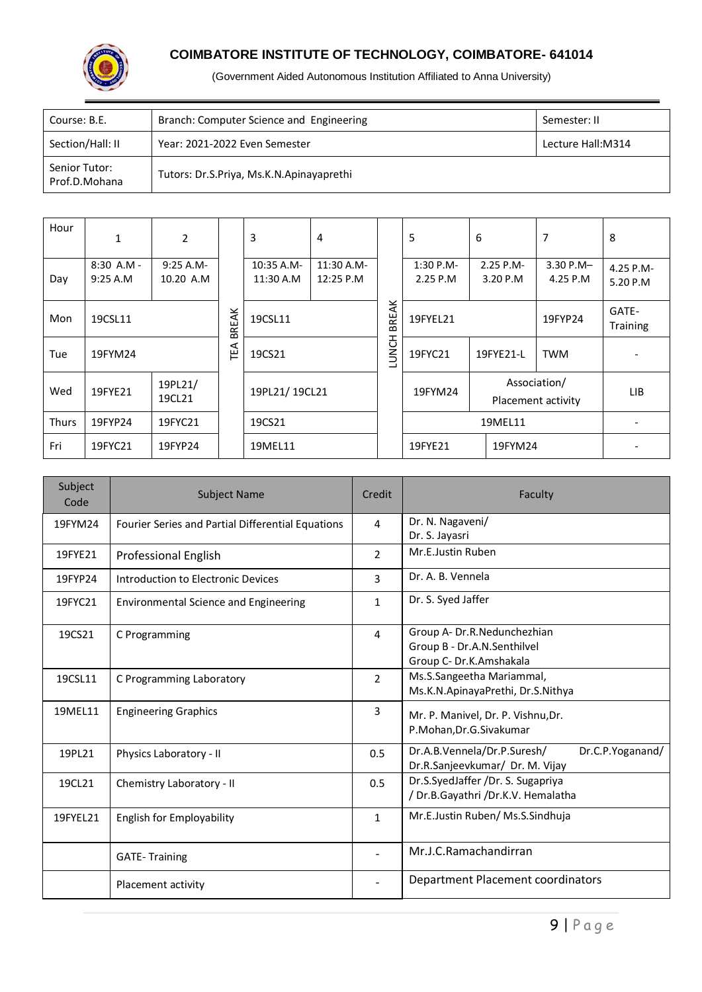

| Course: B.E.                   | Branch: Computer Science and Engineering | Semester: II      |
|--------------------------------|------------------------------------------|-------------------|
| Section/Hall: II               | Year: 2021-2022 Even Semester            | Lecture Hall:M314 |
| Senior Tutor:<br>Prof.D.Mohana | Tutors: Dr.S.Priya, Ms.K.N.Apinayaprethi |                   |

| Hour         | $\mathbf{1}$          | $\overline{2}$            |              | 3                       | 4                       |                                  | 5                     | 6                     | 7                                  | 8                     |
|--------------|-----------------------|---------------------------|--------------|-------------------------|-------------------------|----------------------------------|-----------------------|-----------------------|------------------------------------|-----------------------|
| Day          | 8:30 A.M -<br>9:25A.M | $9:25 A.M -$<br>10.20 A.M |              | 10:35 A.M-<br>11:30 A.M | 11:30 A.M-<br>12:25 P.M |                                  | 1:30 P.M-<br>2.25 P.M | 2.25 P.M-<br>3.20 P.M | $3.30 P.M -$<br>4.25 P.M           | 4.25 P.M-<br>5.20 P.M |
| Mon          | 19CSL11               |                           | <b>BREAK</b> | 19CSL11                 |                         | <b>REAK</b><br>മ<br><b>HONCH</b> | 19FYEL21              |                       | 19FYP24                            | GATE-<br>Training     |
| Tue          | 19FYM24               |                           | TEA          | 19CS21                  |                         |                                  | 19FYC21               | 19FYE21-L             | <b>TWM</b>                         |                       |
| Wed          | 19FYE21               | 19PL21/<br>19CL21         |              |                         | 19PL21/19CL21           |                                  | 19FYM24               |                       | Association/<br>Placement activity | LIB.                  |
| <b>Thurs</b> | 19FYP24               | 19FYC21                   |              | 19CS21                  |                         |                                  |                       | 19MEL11               |                                    |                       |
| Fri          | 19FYC21               | 19FYP24                   |              | 19MEL11                 |                         |                                  | 19FYE21               |                       | 19FYM24                            |                       |

| Subject<br>Code | <b>Subject Name</b>                               | Credit         | Faculty                                                                               |
|-----------------|---------------------------------------------------|----------------|---------------------------------------------------------------------------------------|
| 19FYM24         | Fourier Series and Partial Differential Equations | 4              | Dr. N. Nagaveni/<br>Dr. S. Jayasri                                                    |
| 19FYE21         | <b>Professional English</b>                       | $\overline{2}$ | Mr.E.Justin Ruben                                                                     |
| 19FYP24         | Introduction to Electronic Devices                | 3              | Dr. A. B. Vennela                                                                     |
| 19FYC21         | <b>Environmental Science and Engineering</b>      | $\mathbf{1}$   | Dr. S. Syed Jaffer                                                                    |
| 19CS21          | C Programming                                     | 4              | Group A- Dr.R.Nedunchezhian<br>Group B - Dr.A.N.Senthilvel<br>Group C- Dr.K.Amshakala |
| 19CSL11         | C Programming Laboratory                          | $\mathcal{P}$  | Ms.S.Sangeetha Mariammal,<br>Ms.K.N.ApinayaPrethi, Dr.S.Nithya                        |
| 19MEL11         | <b>Engineering Graphics</b>                       | 3              | Mr. P. Manivel, Dr. P. Vishnu, Dr.<br>P.Mohan, Dr.G.Sivakumar                         |
| 19PL21          | Physics Laboratory - II                           | 0.5            | Dr.A.B.Vennela/Dr.P.Suresh/<br>Dr.C.P.Yoganand/<br>Dr.R.Sanjeevkumar/ Dr. M. Vijay    |
| 19CL21          | Chemistry Laboratory - II                         | 0.5            | Dr.S.SyedJaffer /Dr. S. Sugapriya<br>/ Dr.B.Gayathri /Dr.K.V. Hemalatha               |
| 19FYEL21        | <b>English for Employability</b>                  | $\mathbf{1}$   | Mr.E.Justin Ruben/ Ms.S.Sindhuja                                                      |
|                 | <b>GATE-Training</b>                              |                | Mr.J.C.Ramachandirran                                                                 |
|                 | Placement activity                                |                | <b>Department Placement coordinators</b>                                              |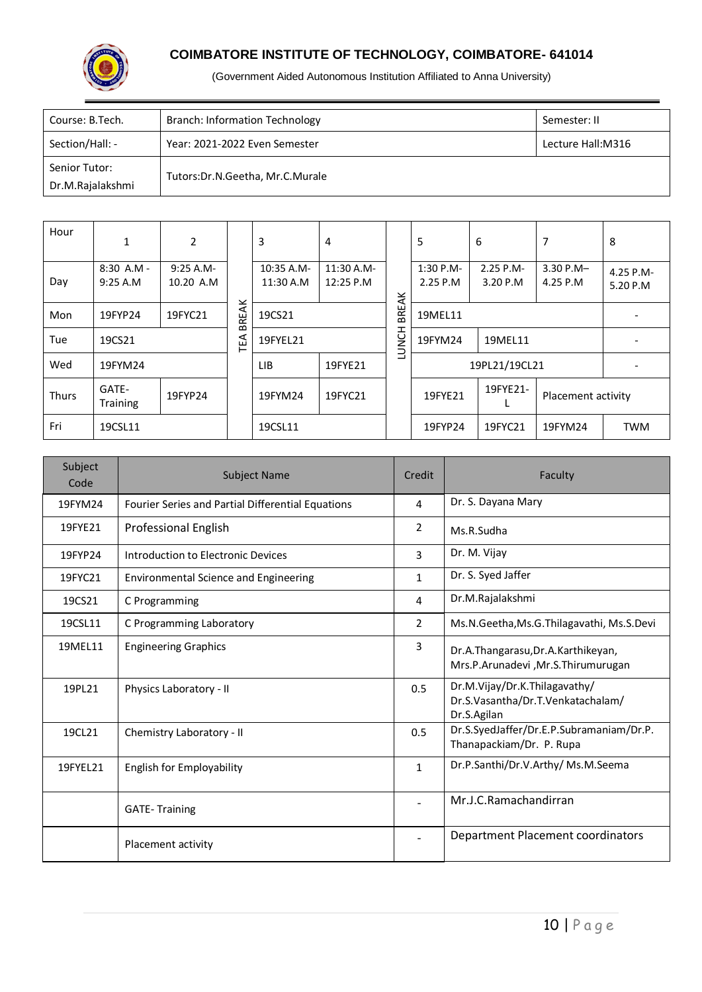

| Course: B.Tech.                   | Branch: Information Technology  | Semester: II       |
|-----------------------------------|---------------------------------|--------------------|
| Section/Hall: -                   | Year: 2021-2022 Even Semester   | Lecture Hall: M316 |
| Senior Tutor:<br>Dr.M.Rajalakshmi | Tutors:Dr.N.Geetha, Mr.C.Murale |                    |

| Hour         | 1                     | 2                      |              | 3                       | 4                       |              | 5                       | 6                     | 7                        | 8                     |
|--------------|-----------------------|------------------------|--------------|-------------------------|-------------------------|--------------|-------------------------|-----------------------|--------------------------|-----------------------|
| Day          | 8:30 A.M -<br>9:25A.M | 9:25 A.M-<br>10.20 A.M |              | 10:35 A.M-<br>11:30 A.M | 11:30 A.M-<br>12:25 P.M | ¥            | $1:30$ P.M-<br>2.25 P.M | 2.25 P.M-<br>3.20 P.M | $3.30 P.M -$<br>4.25 P.M | 4.25 P.M-<br>5.20 P.M |
| Mon          | 19FYP24               | 19FYC21                | <b>BREAK</b> | 19CS21                  |                         | BRE          | 19MEL11                 |                       |                          |                       |
| Tue          | 19CS21                |                        | TEA          | 19FYEL21                |                         | <b>FONCH</b> | 19FYM24<br>19MEL11      |                       |                          |                       |
| Wed          | 19FYM24               |                        |              | LIB                     | 19FYE21                 |              | 19PL21/19CL21           |                       |                          |                       |
| <b>Thurs</b> | GATE-<br>Training     | 19FYP24                |              | 19FYC21<br>19FYM24      |                         |              | 19FYE21                 | 19FYE21-              | Placement activity       |                       |
| Fri          | 19CSL11               |                        |              | 19CSL11                 |                         |              | 19FYP24                 | 19FYC21               | 19FYM24                  | <b>TWM</b>            |

| Subject<br>Code | <b>Subject Name</b>                               | Credit       | Faculty                                                                           |
|-----------------|---------------------------------------------------|--------------|-----------------------------------------------------------------------------------|
| 19FYM24         | Fourier Series and Partial Differential Equations | 4            | Dr. S. Dayana Mary                                                                |
| 19FYE21         | <b>Professional English</b>                       | 2            | Ms.R.Sudha                                                                        |
| 19FYP24         | Introduction to Electronic Devices                | 3            | Dr. M. Vijay                                                                      |
| 19FYC21         | <b>Environmental Science and Engineering</b>      | $\mathbf{1}$ | Dr. S. Syed Jaffer                                                                |
| 19CS21          | C Programming                                     | 4            | Dr.M.Rajalakshmi                                                                  |
| 19CSL11         | C Programming Laboratory                          | 2            | Ms.N.Geetha, Ms.G.Thilagavathi, Ms.S.Devi                                         |
| 19MEL11         | <b>Engineering Graphics</b>                       | 3            | Dr.A.Thangarasu,Dr.A.Karthikeyan,<br>Mrs.P.Arunadevi, Mr.S.Thirumurugan           |
| 19PL21          | Physics Laboratory - II                           | 0.5          | Dr.M.Vijay/Dr.K.Thilagavathy/<br>Dr.S.Vasantha/Dr.T.Venkatachalam/<br>Dr.S.Agilan |
| 19CL21          | Chemistry Laboratory - II                         | 0.5          | Dr.S.SyedJaffer/Dr.E.P.Subramaniam/Dr.P.<br>Thanapackiam/Dr. P. Rupa              |
| 19FYEL21        | <b>English for Employability</b>                  | $\mathbf{1}$ | Dr.P.Santhi/Dr.V.Arthy/ Ms.M.Seema                                                |
|                 | <b>GATE-Training</b>                              |              | Mr.J.C.Ramachandirran                                                             |
|                 | Placement activity                                |              | <b>Department Placement coordinators</b>                                          |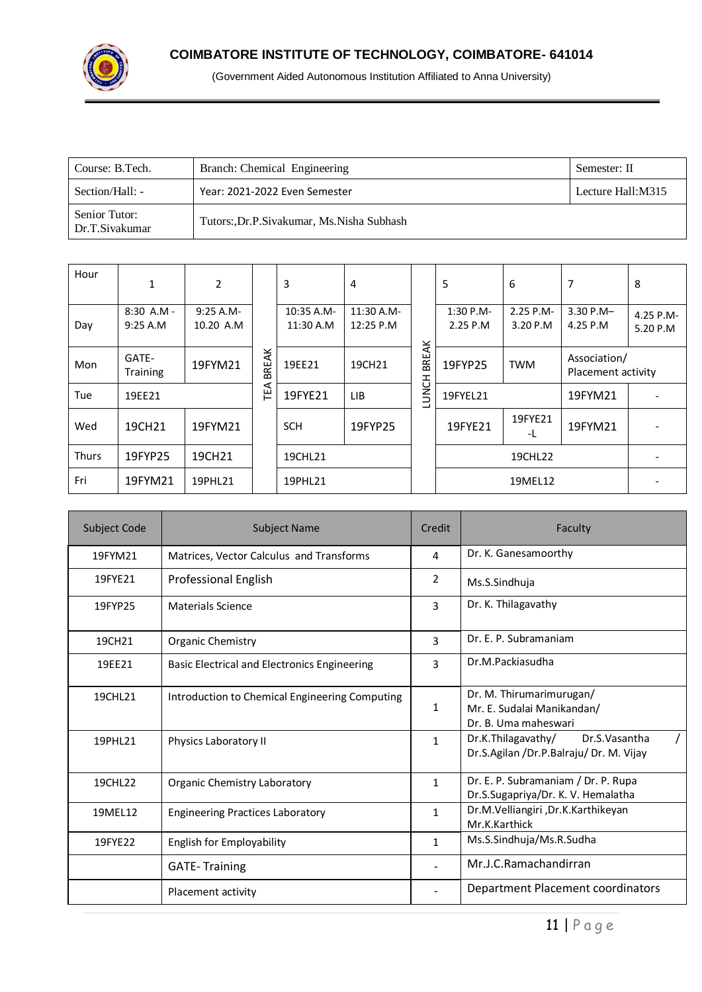

| Course: B.Tech.                 | Branch: Chemical Engineering             | Semester: II      |
|---------------------------------|------------------------------------------|-------------------|
| Section/Hall: -                 | Year: 2021-2022 Even Semester            | Lecture Hall:M315 |
| Senior Tutor:<br>Dr.T.Sivakumar | Tutors: Dr.P.Sivakumar, Ms.Nisha Subhash |                   |

| Hour         | $\mathbf{1}$            | 2                         |       | 3                       | $\overline{4}$          |              | 5                     | 6                     | 7                                  | 8                     |
|--------------|-------------------------|---------------------------|-------|-------------------------|-------------------------|--------------|-----------------------|-----------------------|------------------------------------|-----------------------|
| Day          | $8:30$ A.M -<br>9:25A.M | $9:25 A.M -$<br>10.20 A.M |       | 10:35 A.M-<br>11:30 A.M | 11:30 A.M-<br>12:25 P.M |              | 1:30 P.M-<br>2.25 P.M | 2.25 P.M-<br>3.20 P.M | $3.30 P.M -$<br>4.25 P.M           | 4.25 P.M-<br>5.20 P.M |
| Mon          | GATE-<br>Training       | 19FYM21                   | BREAK | 19EE21                  | 19CH21                  | <b>BREAK</b> | 19FYP25               | <b>TWM</b>            | Association/<br>Placement activity |                       |
| Tue          | 19EE21                  |                           | TEA   | 19FYE21                 | <b>LIB</b>              | <b>HONCH</b> | 19FYEL21              |                       | 19FYM21                            |                       |
| Wed          | 19CH21                  | 19FYM21                   |       | <b>SCH</b>              | 19FYP25                 |              | 19FYE21               | 19FYE21<br>-L         | 19FYM21                            |                       |
| <b>Thurs</b> | 19FYP25                 | 19CH21                    |       | 19CHL21                 |                         |              |                       | 19CHL22               |                                    |                       |
| Fri          | 19FYM21                 | 19PHL21                   |       | 19PHL21                 |                         |              |                       | 19MEL12               |                                    |                       |

| Subject Code | <b>Subject Name</b>                            | Credit         | Faculty                                                                        |
|--------------|------------------------------------------------|----------------|--------------------------------------------------------------------------------|
| 19FYM21      | Matrices, Vector Calculus and Transforms       | 4              | Dr. K. Ganesamoorthy                                                           |
| 19FYE21      | <b>Professional English</b>                    | $\overline{2}$ | Ms.S.Sindhuja                                                                  |
| 19FYP25      | <b>Materials Science</b>                       | 3              | Dr. K. Thilagavathy                                                            |
| 19CH21       | Organic Chemistry                              | 3              | Dr. E. P. Subramaniam                                                          |
| 19EE21       | Basic Electrical and Electronics Engineering   | 3              | Dr.M.Packiasudha                                                               |
| 19CHL21      | Introduction to Chemical Engineering Computing | 1              | Dr. M. Thirumarimurugan/<br>Mr. E. Sudalai Manikandan/<br>Dr. B. Uma maheswari |
| 19PHL21      | Physics Laboratory II                          | $\mathbf{1}$   | Dr.K.Thilagavathy/<br>Dr.S. Vasantha<br>Dr.S.Agilan /Dr.P.Balraju/Dr. M. Vijay |
| 19CHL22      | Organic Chemistry Laboratory                   | 1              | Dr. E. P. Subramaniam / Dr. P. Rupa<br>Dr.S.Sugapriya/Dr. K. V. Hemalatha      |
| 19MEL12      | <b>Engineering Practices Laboratory</b>        | $\mathbf{1}$   | Dr.M.Velliangiri ,Dr.K.Karthikeyan<br>Mr.K.Karthick                            |
| 19FYE22      | <b>English for Employability</b>               | $\mathbf{1}$   | Ms.S.Sindhuja/Ms.R.Sudha                                                       |
|              | <b>GATE-Training</b>                           |                | Mr.J.C.Ramachandirran                                                          |
|              | Placement activity                             |                | Department Placement coordinators                                              |